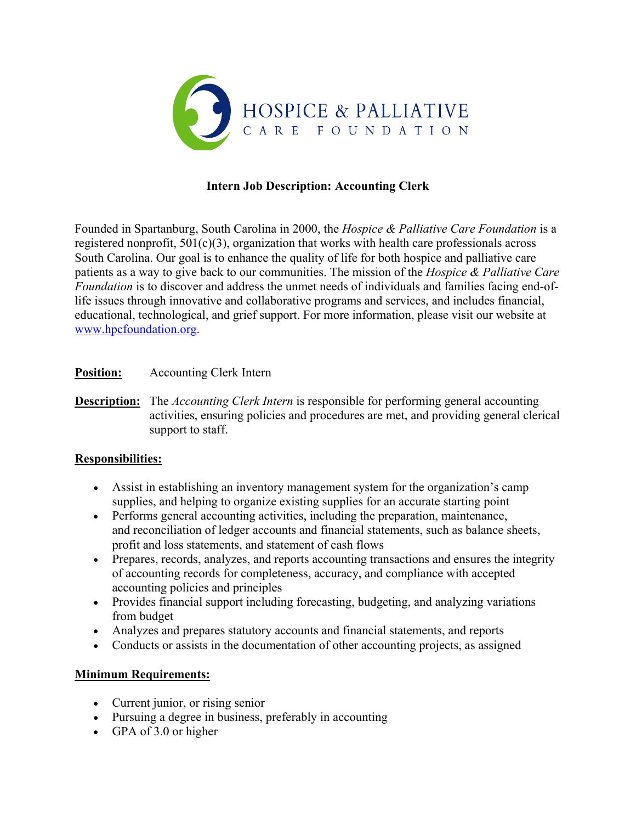

# **Intern Job Description: Accounting Clerk**

Founded in Spartanburg, South Carolina in 2000, the *Hospice & Palliative Care Foundation* is a registered nonprofit,  $501(c)(3)$ , organization that works with health care professionals across South Carolina. Our goal is to enhance the quality of life for both hospice and palliative care patients as a way to give back to our communities. The mission of the *Hospice & Palliative Care Foundation* is to discover and address the unmet needs of individuals and families facing end-oflife issues through innovative and collaborative programs and services, and includes financial, educational, technological, and grief support. For more information, please visit our website at www.hpcfoundation.org.

## **Position:** Accounting Clerk Intern

**Description:** The *Accounting Clerk Intern* is responsible for performing general accounting activities, ensuring policies and procedures are met, and providing general clerical support to staff.

## **Responsibilities:**

- Assist in establishing an inventory management system for the organization's camp supplies, and helping to organize existing supplies for an accurate starting point
- Performs general accounting activities, including the preparation, maintenance, and reconciliation of ledger accounts and financial statements, such as balance sheets, profit and loss statements, and statement of cash flows
- Prepares, records, analyzes, and reports accounting transactions and ensures the integrity of accounting records for completeness, accuracy, and compliance with accepted accounting policies and principles
- Provides financial support including forecasting, budgeting, and analyzing variations from budget
- Analyzes and prepares statutory accounts and financial statements, and reports
- Conducts or assists in the documentation of other accounting projects, as assigned

## **Minimum Requirements:**

- Current junior, or rising senior
- Pursuing a degree in business, preferably in accounting
- GPA of 3.0 or higher